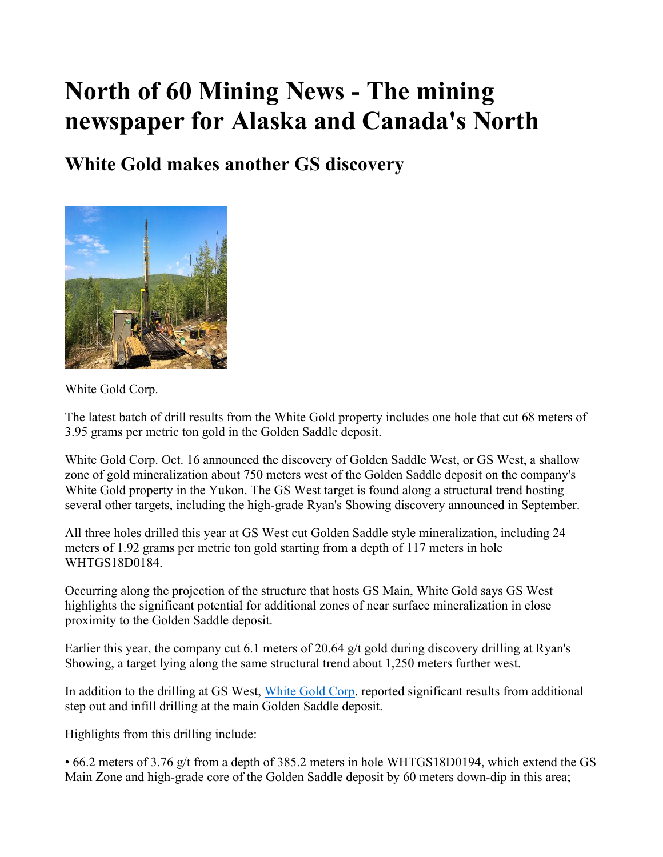## North of 60 Mining News - The mining newspaper for Alaska and Canada's North

## White Gold makes another GS discovery



White Gold Corp.

The latest batch of drill results from the White Gold property includes one hole that cut 68 meters of 3.95 grams per metric ton gold in the Golden Saddle deposit.

White Gold Corp. Oct. 16 announced the discovery of Golden Saddle West, or GS West, a shallow zone of gold mineralization about 750 meters west of the Golden Saddle deposit on the company's White Gold property in the Yukon. The GS West target is found along a structural trend hosting several other targets, including the high-grade Ryan's Showing discovery announced in September.

All three holes drilled this year at GS West cut Golden Saddle style mineralization, including 24 meters of 1.92 grams per metric ton gold starting from a depth of 117 meters in hole WHTGS18D0184.

Occurring along the projection of the structure that hosts GS Main, White Gold says GS West highlights the significant potential for additional zones of near surface mineralization in close proximity to the Golden Saddle deposit.

Earlier this year, the company cut 6.1 meters of 20.64 g/t gold during discovery drilling at Ryan's Showing, a target lying along the same structural trend about 1,250 meters further west.

In addition to the drilling at GS West, White Gold Corp. reported significant results from additional step out and infill drilling at the main Golden Saddle deposit.

Highlights from this drilling include:

• 66.2 meters of 3.76 g/t from a depth of 385.2 meters in hole WHTGS18D0194, which extend the GS Main Zone and high-grade core of the Golden Saddle deposit by 60 meters down-dip in this area;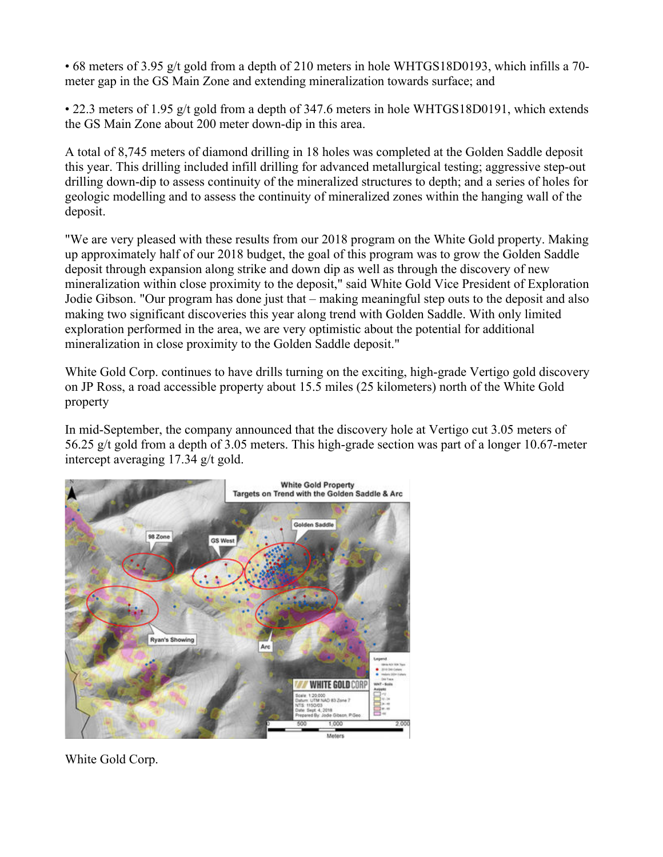• 68 meters of 3.95 g/t gold from a depth of 210 meters in hole WHTGS18D0193, which infills a 70 meter gap in the GS Main Zone and extending mineralization towards surface; and

• 22.3 meters of 1.95 g/t gold from a depth of 347.6 meters in hole WHTGS18D0191, which extends the GS Main Zone about 200 meter down-dip in this area.

A total of 8,745 meters of diamond drilling in 18 holes was completed at the Golden Saddle deposit this year. This drilling included infill drilling for advanced metallurgical testing; aggressive step-out drilling down-dip to assess continuity of the mineralized structures to depth; and a series of holes for geologic modelling and to assess the continuity of mineralized zones within the hanging wall of the deposit.

"We are very pleased with these results from our 2018 program on the White Gold property. Making up approximately half of our 2018 budget, the goal of this program was to grow the Golden Saddle deposit through expansion along strike and down dip as well as through the discovery of new mineralization within close proximity to the deposit," said White Gold Vice President of Exploration Jodie Gibson. "Our program has done just that – making meaningful step outs to the deposit and also making two significant discoveries this year along trend with Golden Saddle. With only limited exploration performed in the area, we are very optimistic about the potential for additional mineralization in close proximity to the Golden Saddle deposit."

White Gold Corp. continues to have drills turning on the exciting, high-grade Vertigo gold discovery on JP Ross, a road accessible property about 15.5 miles (25 kilometers) north of the White Gold property

In mid-September, the company announced that the discovery hole at Vertigo cut 3.05 meters of 56.25 g/t gold from a depth of 3.05 meters. This high-grade section was part of a longer 10.67-meter intercept averaging 17.34 g/t gold.



White Gold Corp.